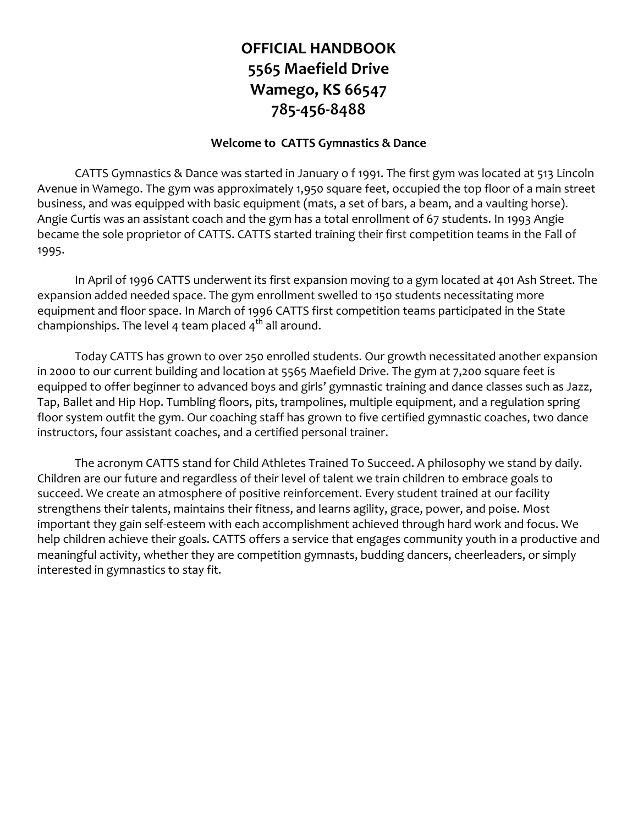## **OFFICIAL HANDBOOK 5565 Maefield Drive Wamego, KS 66547 785-456-8488**

### **Welcome to CATTS Gymnastics & Dance**

CATTS Gymnastics & Dance was started in January o f 1991. The first gym was located at 513 Lincoln Avenue in Wamego. The gym was approximately 1,950 square feet, occupied the top floor of a main street business, and was equipped with basic equipment (mats, a set of bars, a beam, and a vaulting horse). Angie Curtis was an assistant coach and the gym has a total enrollment of 67 students. In 1993 Angie became the sole proprietor of CATTS. CATTS started training their first competition teams in the Fall of 1995.

In April of 1996 CATTS underwent its first expansion moving to a gym located at 401 Ash Street. The expansion added needed space. The gym enrollment swelled to 150 students necessitating more equipment and floor space. In March of 1996 CATTS first competition teams participated in the State championships. The level 4 team placed  $4<sup>th</sup>$  all around.

Today CATTS has grown to over 250 enrolled students. Our growth necessitated another expansion in 2000 to our current building and location at 5565 Maefield Drive. The gym at 7,200 square feet is equipped to offer beginner to advanced boys and girls' gymnastic training and dance classes such as Jazz, Tap, Ballet and Hip Hop. Tumbling floors, pits, trampolines, multiple equipment, and a regulation spring floor system outfit the gym. Our coaching staff has grown to five certified gymnastic coaches, two dance instructors, four assistant coaches, and a certified personal trainer.

The acronym CATTS stand for Child Athletes Trained To Succeed. A philosophy we stand by daily. Children are our future and regardless of their level of talent we train children to embrace goals to succeed. We create an atmosphere of positive reinforcement. Every student trained at our facility strengthens their talents, maintains their fitness, and learns agility, grace, power, and poise. Most important they gain self-esteem with each accomplishment achieved through hard work and focus. We help children achieve their goals. CATTS offers a service that engages community youth in a productive and meaningful activity, whether they are competition gymnasts, budding dancers, cheerleaders, or simply interested in gymnastics to stay fit.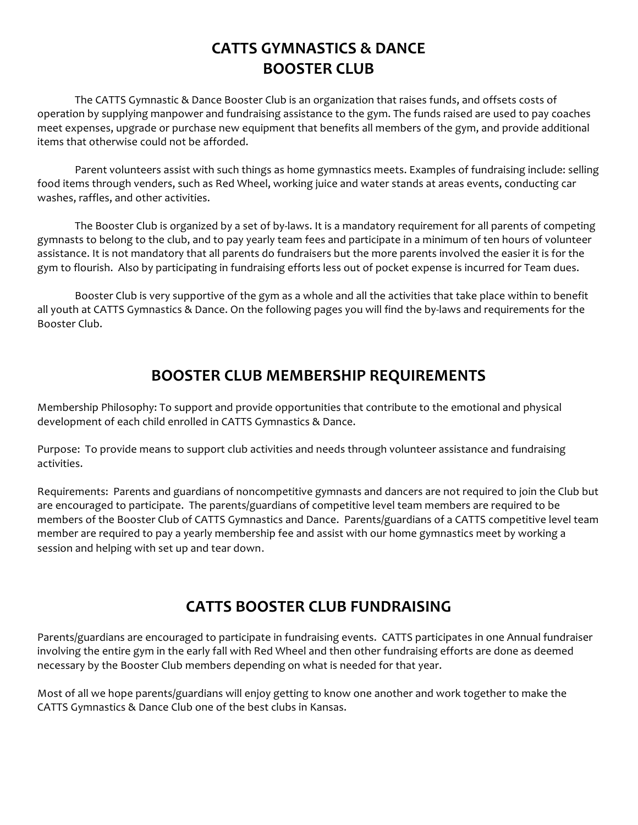## **CATTS GYMNASTICS & DANCE BOOSTER CLUB**

The CATTS Gymnastic & Dance Booster Club is an organization that raises funds, and offsets costs of operation by supplying manpower and fundraising assistance to the gym. The funds raised are used to pay coaches meet expenses, upgrade or purchase new equipment that benefits all members of the gym, and provide additional items that otherwise could not be afforded.

Parent volunteers assist with such things as home gymnastics meets. Examples of fundraising include: selling food items through venders, such as Red Wheel, working juice and water stands at areas events, conducting car washes, raffles, and other activities.

The Booster Club is organized by a set of by-laws. It is a mandatory requirement for all parents of competing gymnasts to belong to the club, and to pay yearly team fees and participate in a minimum of ten hours of volunteer assistance. It is not mandatory that all parents do fundraisers but the more parents involved the easier it is for the gym to flourish. Also by participating in fundraising efforts less out of pocket expense is incurred for Team dues.

Booster Club is very supportive of the gym as a whole and all the activities that take place within to benefit all youth at CATTS Gymnastics & Dance. On the following pages you will find the by-laws and requirements for the Booster Club.

### **BOOSTER CLUB MEMBERSHIP REQUIREMENTS**

Membership Philosophy: To support and provide opportunities that contribute to the emotional and physical development of each child enrolled in CATTS Gymnastics & Dance.

Purpose: To provide means to support club activities and needs through volunteer assistance and fundraising activities.

Requirements: Parents and guardians of noncompetitive gymnasts and dancers are not required to join the Club but are encouraged to participate. The parents/guardians of competitive level team members are required to be members of the Booster Club of CATTS Gymnastics and Dance. Parents/guardians of a CATTS competitive level team member are required to pay a yearly membership fee and assist with our home gymnastics meet by working a session and helping with set up and tear down.

## **CATTS BOOSTER CLUB FUNDRAISING**

Parents/guardians are encouraged to participate in fundraising events. CATTS participates in one Annual fundraiser involving the entire gym in the early fall with Red Wheel and then other fundraising efforts are done as deemed necessary by the Booster Club members depending on what is needed for that year.

Most of all we hope parents/guardians will enjoy getting to know one another and work together to make the CATTS Gymnastics & Dance Club one of the best clubs in Kansas.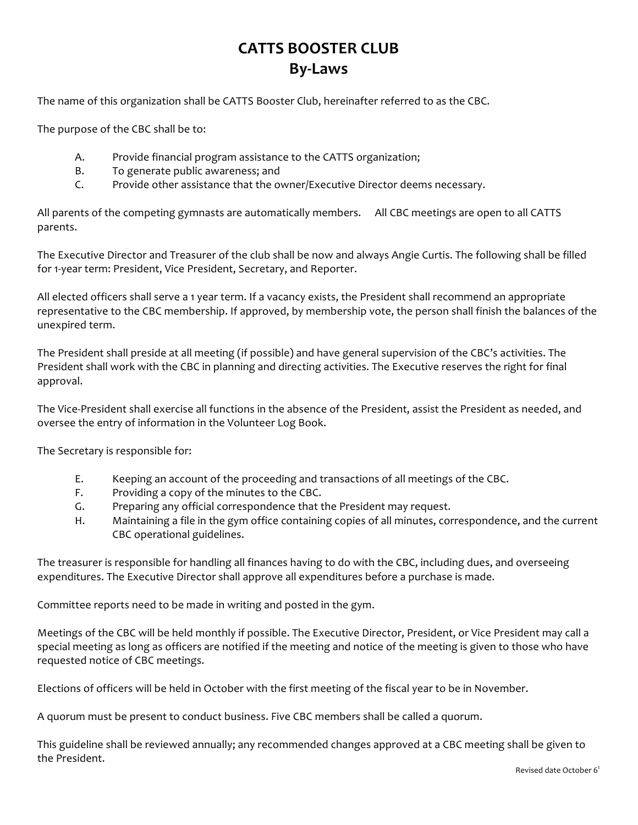## **CATTS BOOSTER CLUB By-Laws**

The name of this organization shall be CATTS Booster Club, hereinafter referred to as the CBC.

The purpose of the CBC shall be to:

- A. Provide financial program assistance to the CATTS organization;
- B. To generate public awareness; and
- C. Provide other assistance that the owner/Executive Director deems necessary.

All parents of the competing gymnasts are automatically members. All CBC meetings are open to all CATTS parents.

The Executive Director and Treasurer of the club shall be now and always Angie Curtis. The following shall be filled for 1-year term: President, Vice President, Secretary, and Reporter.

All elected officers shall serve a 1 year term. If a vacancy exists, the President shall recommend an appropriate representative to the CBC membership. If approved, by membership vote, the person shall finish the balances of the unexpired term.

The President shall preside at all meeting (if possible) and have general supervision of the CBC's activities. The President shall work with the CBC in planning and directing activities. The Executive reserves the right for final approval.

The Vice-President shall exercise all functions in the absence of the President, assist the President as needed, and oversee the entry of information in the Volunteer Log Book.

The Secretary is responsible for:

- E. Keeping an account of the proceeding and transactions of all meetings of the CBC.
- F. Providing a copy of the minutes to the CBC.
- G. Preparing any official correspondence that the President may request.
- H. Maintaining a file in the gym office containing copies of all minutes, correspondence, and the current CBC operational guidelines.

The treasurer is responsible for handling all finances having to do with the CBC, including dues, and overseeing expenditures. The Executive Director shall approve all expenditures before a purchase is made.

Committee reports need to be made in writing and posted in the gym.

Meetings of the CBC will be held monthly if possible. The Executive Director, President, or Vice President may call a special meeting as long as officers are notified if the meeting and notice of the meeting is given to those who have requested notice of CBC meetings.

Elections of officers will be held in October with the first meeting of the fiscal year to be in November.

A quorum must be present to conduct business. Five CBC members shall be called a quorum.

This guideline shall be reviewed annually; any recommended changes approved at a CBC meeting shall be given to the President.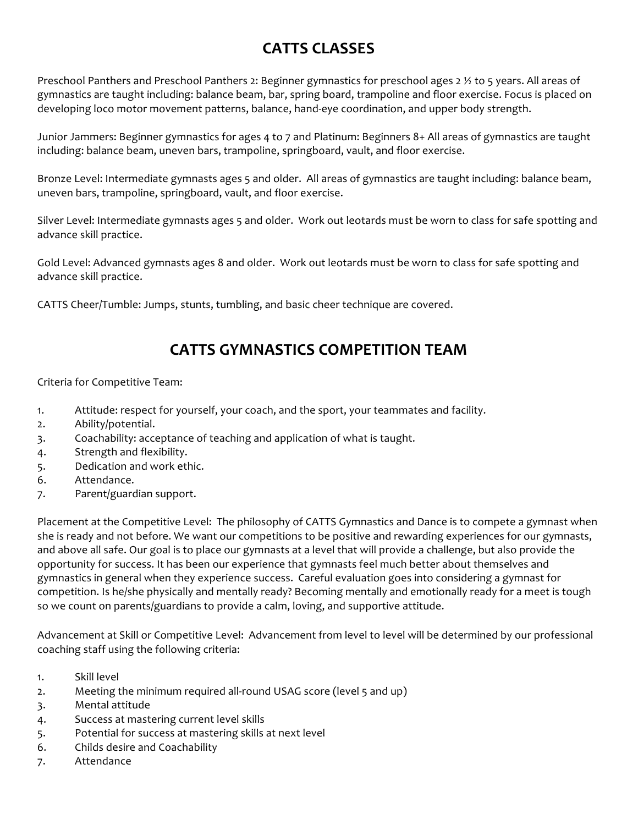## **CATTS CLASSES**

Preschool Panthers and Preschool Panthers 2: Beginner gymnastics for preschool ages  $2\frac{1}{2}$  to 5 years. All areas of gymnastics are taught including: balance beam, bar, spring board, trampoline and floor exercise. Focus is placed on developing loco motor movement patterns, balance, hand-eye coordination, and upper body strength.

Junior Jammers: Beginner gymnastics for ages 4 to 7 and Platinum: Beginners 8+ All areas of gymnastics are taught including: balance beam, uneven bars, trampoline, springboard, vault, and floor exercise.

Bronze Level: Intermediate gymnasts ages 5 and older. All areas of gymnastics are taught including: balance beam, uneven bars, trampoline, springboard, vault, and floor exercise.

Silver Level: Intermediate gymnasts ages 5 and older. Work out leotards must be worn to class for safe spotting and advance skill practice.

Gold Level: Advanced gymnasts ages 8 and older. Work out leotards must be worn to class for safe spotting and advance skill practice.

CATTS Cheer/Tumble: Jumps, stunts, tumbling, and basic cheer technique are covered.

### **CATTS GYMNASTICS COMPETITION TEAM**

Criteria for Competitive Team:

- 1. Attitude: respect for yourself, your coach, and the sport, your teammates and facility.
- 2. Ability/potential.
- 3. Coachability: acceptance of teaching and application of what is taught.
- 4. Strength and flexibility.
- 5. Dedication and work ethic.
- 6. Attendance.
- 7. Parent/guardian support.

Placement at the Competitive Level: The philosophy of CATTS Gymnastics and Dance is to compete a gymnast when she is ready and not before. We want our competitions to be positive and rewarding experiences for our gymnasts, and above all safe. Our goal is to place our gymnasts at a level that will provide a challenge, but also provide the opportunity for success. It has been our experience that gymnasts feel much better about themselves and gymnastics in general when they experience success. Careful evaluation goes into considering a gymnast for competition. Is he/she physically and mentally ready? Becoming mentally and emotionally ready for a meet is tough so we count on parents/guardians to provide a calm, loving, and supportive attitude.

Advancement at Skill or Competitive Level: Advancement from level to level will be determined by our professional coaching staff using the following criteria:

- 1. Skill level
- 2. Meeting the minimum required all-round USAG score (level 5 and up)
- 3. Mental attitude
- 4. Success at mastering current level skills
- 5. Potential for success at mastering skills at next level
- 6. Childs desire and Coachability
- 7. Attendance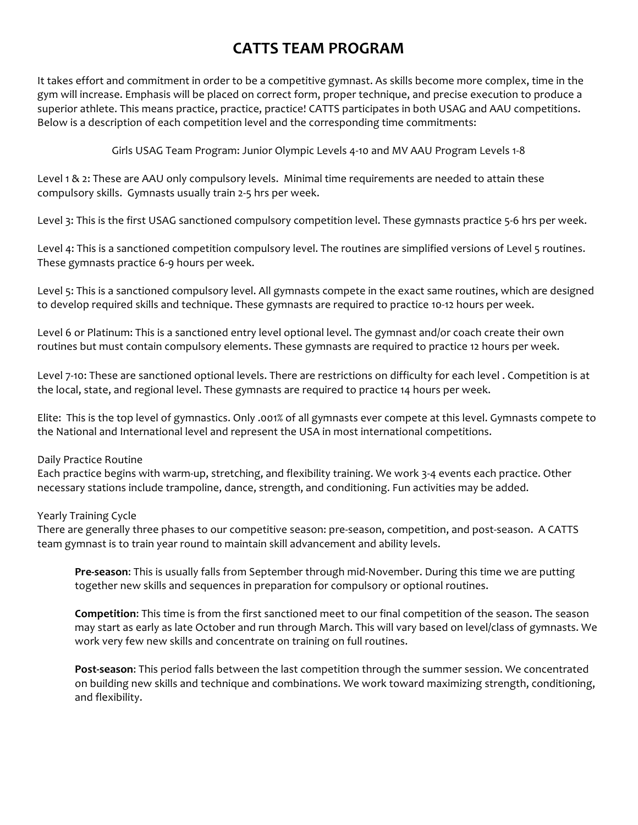### **CATTS TEAM PROGRAM**

It takes effort and commitment in order to be a competitive gymnast. As skills become more complex, time in the gym will increase. Emphasis will be placed on correct form, proper technique, and precise execution to produce a superior athlete. This means practice, practice, practice! CATTS participates in both USAG and AAU competitions. Below is a description of each competition level and the corresponding time commitments:

Girls USAG Team Program: Junior Olympic Levels 4-10 and MV AAU Program Levels 1-8

Level 1 & 2: These are AAU only compulsory levels. Minimal time requirements are needed to attain these compulsory skills. Gymnasts usually train 2-5 hrs per week.

Level 3: This is the first USAG sanctioned compulsory competition level. These gymnasts practice 5-6 hrs per week.

Level 4: This is a sanctioned competition compulsory level. The routines are simplified versions of Level 5 routines. These gymnasts practice 6-9 hours per week.

Level 5: This is a sanctioned compulsory level. All gymnasts compete in the exact same routines, which are designed to develop required skills and technique. These gymnasts are required to practice 10-12 hours per week.

Level 6 or Platinum: This is a sanctioned entry level optional level. The gymnast and/or coach create their own routines but must contain compulsory elements. These gymnasts are required to practice 12 hours per week.

Level 7-10: These are sanctioned optional levels. There are restrictions on difficulty for each level . Competition is at the local, state, and regional level. These gymnasts are required to practice 14 hours per week.

Elite: This is the top level of gymnastics. Only .001% of all gymnasts ever compete at this level. Gymnasts compete to the National and International level and represent the USA in most international competitions.

### Daily Practice Routine

Each practice begins with warm-up, stretching, and flexibility training. We work 3-4 events each practice. Other necessary stations include trampoline, dance, strength, and conditioning. Fun activities may be added.

#### Yearly Training Cycle

There are generally three phases to our competitive season: pre-season, competition, and post-season. A CATTS team gymnast is to train year round to maintain skill advancement and ability levels.

**Pre-season:** This is usually falls from September through mid-November. During this time we are putting together new skills and sequences in preparation for compulsory or optional routines.

**Competition:** This time is from the first sanctioned meet to our final competition of the season. The season may start as early as late October and run through March. This will vary based on level/class of gymnasts. We work very few new skills and concentrate on training on full routines.

Post-season: This period falls between the last competition through the summer session. We concentrated on building new skills and technique and combinations. We work toward maximizing strength, conditioning, and flexibility.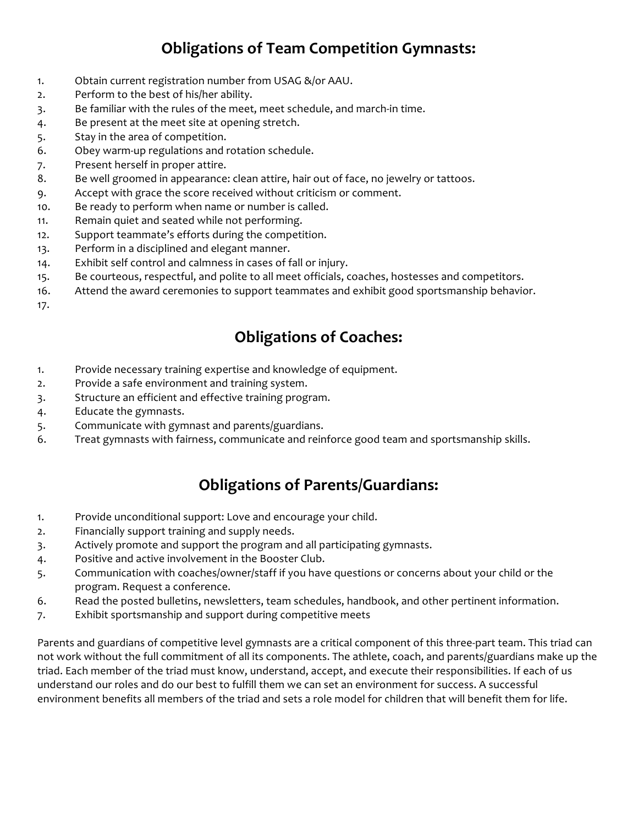## **Obligations of Team Competition Gymnasts:**

- 1. Obtain current registration number from USAG &/or AAU.
- 2. Perform to the best of his/her ability.
- 3. Be familiar with the rules of the meet, meet schedule, and march-in time.
- 4. Be present at the meet site at opening stretch.
- 5. Stay in the area of competition.
- 6. Obey warm-up regulations and rotation schedule.
- 7. Present herself in proper attire.
- 8. Be well groomed in appearance: clean attire, hair out of face, no jewelry or tattoos.
- 9. Accept with grace the score received without criticism or comment.
- 10. Be ready to perform when name or number is called.
- 11. Remain quiet and seated while not performing.
- 12. Support teammate's efforts during the competition.
- 13. Perform in a disciplined and elegant manner.
- 14. Exhibit self control and calmness in cases of fall or injury.
- 15. Be courteous, respectful, and polite to all meet officials, coaches, hostesses and competitors.
- 16. Attend the award ceremonies to support teammates and exhibit good sportsmanship behavior.
- 17.

# **Obligations of Coaches:**

- 1. Provide necessary training expertise and knowledge of equipment.
- 2. Provide a safe environment and training system.
- 3. Structure an efficient and effective training program.
- 4. Educate the gymnasts.
- 5. Communicate with gymnast and parents/guardians.
- 6. Treat gymnasts with fairness, communicate and reinforce good team and sportsmanship skills.

### **Obligations of Parents/Guardians:**

- 1. Provide unconditional support: Love and encourage your child.
- 2. Financially support training and supply needs.
- 3. Actively promote and support the program and all participating gymnasts.
- 4. Positive and active involvement in the Booster Club.
- 5. Communication with coaches/owner/staff if you have questions or concerns about your child or the program. Request a conference.
- 6. Read the posted bulletins, newsletters, team schedules, handbook, and other pertinent information.
- 7. Exhibit sportsmanship and support during competitive meets

Parents and guardians of competitive level gymnasts are a critical component of this three-part team. This triad can not work without the full commitment of all its components. The athlete, coach, and parents/guardians make up the triad. Each member of the triad must know, understand, accept, and execute their responsibilities. If each of us understand our roles and do our best to fulfill them we can set an environment for success. A successful environment benefits all members of the triad and sets a role model for children that will benefit them for life.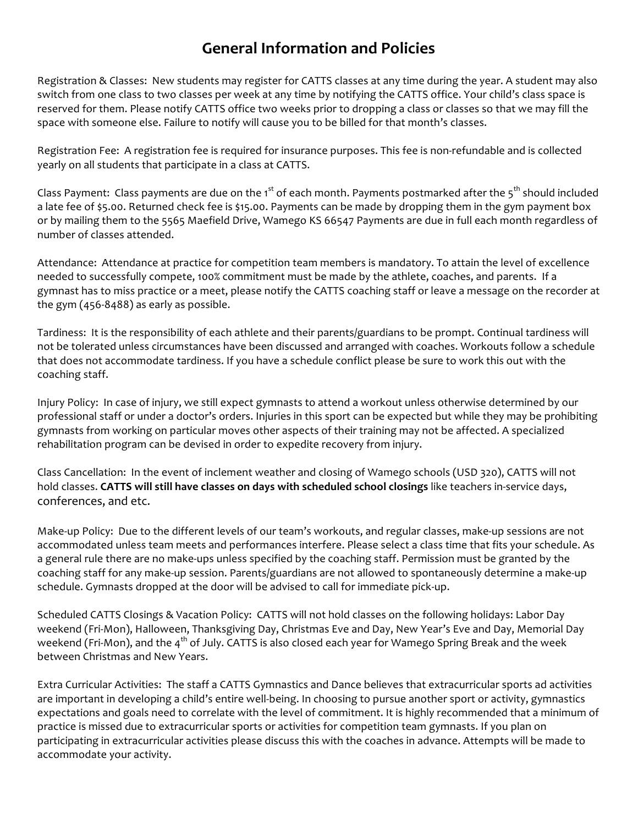### **General Information and Policies**

Registration & Classes: New students may register for CATTS classes at any time during the year. A student may also switch from one class to two classes per week at any time by notifying the CATTS office. Your child's class space is reserved for them. Please notify CATTS office two weeks prior to dropping a class or classes so that we may fill the space with someone else. Failure to notify will cause you to be billed for that month's classes.

Registration Fee: A registration fee is required for insurance purposes. This fee is non-refundable and is collected yearly on all students that participate in a class at CATTS.

Class Payment: Class payments are due on the 1<sup>st</sup> of each month. Payments postmarked after the 5<sup>th</sup> should included a late fee of \$5.00. Returned check fee is \$15.00. Payments can be made by dropping them in the gym payment box or by mailing them to the 5565 Maefield Drive, Wamego KS 66547 Payments are due in full each month regardless of number of classes attended.

Attendance: Attendance at practice for competition team members is mandatory. To attain the level of excellence needed to successfully compete, 100% commitment must be made by the athlete, coaches, and parents. If a gymnast has to miss practice or a meet, please notify the CATTS coaching staff or leave a message on the recorder at the gym  $(456-8488)$  as early as possible.

Tardiness: It is the responsibility of each athlete and their parents/guardians to be prompt. Continual tardiness will not be tolerated unless circumstances have been discussed and arranged with coaches. Workouts follow a schedule that does not accommodate tardiness. If you have a schedule conflict please be sure to work this out with the coaching staff.

Injury Policy: In case of injury, we still expect gymnasts to attend a workout unless otherwise determined by our professional staff or under a doctor's orders. Injuries in this sport can be expected but while they may be prohibiting gymnasts from working on particular moves other aspects of their training may not be affected. A specialized rehabilitation program can be devised in order to expedite recovery from injury.

Class Cancellation: In the event of inclement weather and closing of Wamego schools (USD 320), CATTS will not hold classes. CATTS will still have classes on days with scheduled school closings like teachers in-service days, conferences, and etc.

Make-up Policy: Due to the different levels of our team's workouts, and regular classes, make-up sessions are not accommodated unless team meets and performances interfere. Please select a class time that fits your schedule. As a general rule there are no make-ups unless specified by the coaching staff. Permission must be granted by the coaching staff for any make-up session. Parents/guardians are not allowed to spontaneously determine a make-up schedule. Gymnasts dropped at the door will be advised to call for immediate pick-up.

Scheduled CATTS Closings & Vacation Policy: CATTS will not hold classes on the following holidays: Labor Day weekend (Fri-Mon), Halloween, Thanksgiving Day, Christmas Eve and Day, New Year's Eve and Day, Memorial Day weekend (Fri-Mon), and the  $4<sup>th</sup>$  of July. CATTS is also closed each year for Wamego Spring Break and the week between Christmas and New Years.

Extra Curricular Activities: The staff a CATTS Gymnastics and Dance believes that extracurricular sports ad activities are important in developing a child's entire well-being. In choosing to pursue another sport or activity, gymnastics expectations and goals need to correlate with the level of commitment. It is highly recommended that a minimum of practice is missed due to extracurricular sports or activities for competition team gymnasts. If you plan on participating in extracurricular activities please discuss this with the coaches in advance. Attempts will be made to accommodate your activity.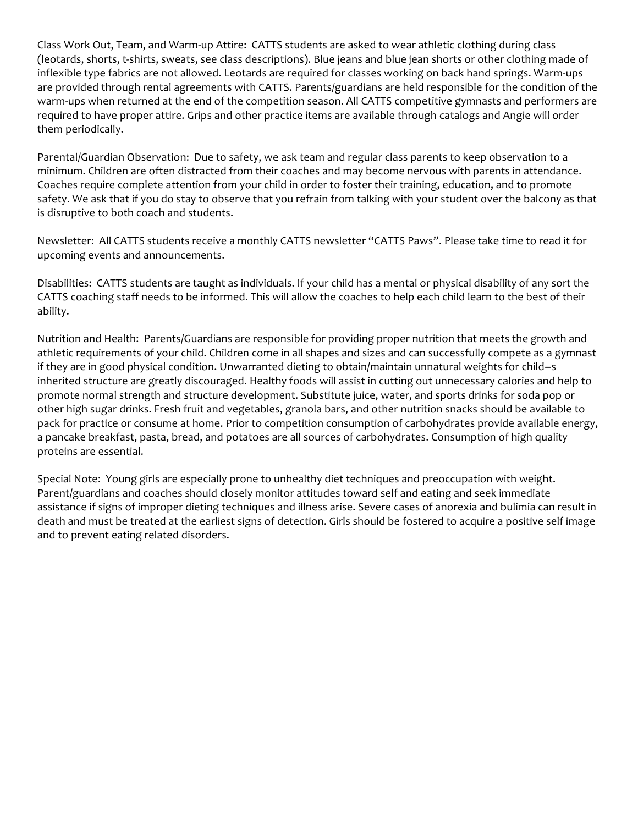Class Work Out, Team, and Warm-up Attire: CATTS students are asked to wear athletic clothing during class (leotards, shorts, t-shirts, sweats, see class descriptions). Blue jeans and blue jean shorts or other clothing made of inflexible type fabrics are not allowed. Leotards are required for classes working on back hand springs. Warm-ups are provided through rental agreements with CATTS. Parents/guardians are held responsible for the condition of the warm-ups when returned at the end of the competition season. All CATTS competitive gymnasts and performers are required to have proper attire. Grips and other practice items are available through catalogs and Angie will order them periodically.

Parental/Guardian Observation: Due to safety, we ask team and regular class parents to keep observation to a minimum. Children are often distracted from their coaches and may become nervous with parents in attendance. Coaches require complete attention from your child in order to foster their training, education, and to promote safety. We ask that if you do stay to observe that you refrain from talking with your student over the balcony as that is disruptive to both coach and students.

Newsletter: All CATTS students receive a monthly CATTS newsletter "CATTS Paws". Please take time to read it for upcoming events and announcements.

Disabilities: CATTS students are taught as individuals. If your child has a mental or physical disability of any sort the CATTS coaching staff needs to be informed. This will allow the coaches to help each child learn to the best of their ability.

Nutrition and Health: Parents/Guardians are responsible for providing proper nutrition that meets the growth and athletic requirements of your child. Children come in all shapes and sizes and can successfully compete as a gymnast if they are in good physical condition. Unwarranted dieting to obtain/maintain unnatural weights for child=s inherited structure are greatly discouraged. Healthy foods will assist in cutting out unnecessary calories and help to promote normal strength and structure development. Substitute juice, water, and sports drinks for soda pop or other high sugar drinks. Fresh fruit and vegetables, granola bars, and other nutrition snacks should be available to pack for practice or consume at home. Prior to competition consumption of carbohydrates provide available energy, a pancake breakfast, pasta, bread, and potatoes are all sources of carbohydrates. Consumption of high quality proteins are essential.

Special Note: Young girls are especially prone to unhealthy diet techniques and preoccupation with weight. Parent/guardians and coaches should closely monitor attitudes toward self and eating and seek immediate assistance if signs of improper dieting techniques and illness arise. Severe cases of anorexia and bulimia can result in death and must be treated at the earliest signs of detection. Girls should be fostered to acquire a positive self image and to prevent eating related disorders.